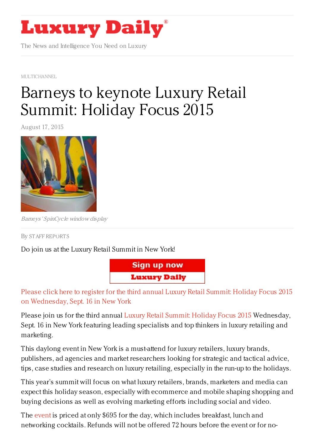

The News and Intelligence You Need on Luxury

[MULTICHANNEL](https://www.luxurydaily.com/category/news/multichannel/)

## Barneys to keynote Luxury Retail [Summit:](https://www.luxurydaily.com/registration-open-luxury-retail-summit-holiday-focus-2015-19/) Holiday Focus 2015

August 17, 2015



Barneys' SpinCycle window display

By STAFF [REPORT](/author/staff-reports) S

Do join us at the Luxury Retail Summit in New York!



Please click here to register for the third annual Luxury Retail Summit: Holiday Focus 2015 on [Wednesday,](https://luxurydaily.com/conference-page) Sept. 16 in New York

Please join us for the third annual Luxury Retail [Summit:](https://luxurydaily.com/conference-page) Holiday Focus 2015 Wednesday, Sept. 16 in New York featuring leading specialists and top thinkers in luxury retailing and marketing.

This daylong event in New York is a must-attend for luxury retailers, luxury brands, publishers, ad agencies and market researchers looking for strategic and tactical advice, tips, case studies and research on luxury retailing, especially in the run-up to the holidays.

This year's summit will focus on what luxury retailers, brands, marketers and media can expect this holiday season, especially with ecommerce and mobile shaping shopping and buying decisions as well as evolving marketing efforts including social and video.

The [event](https://luxurydaily.com/conference-page) is priced at only \$695 for the day, which includes breakfast, lunch and networking cocktails. Refunds will not be offered 72 hours before the event or for no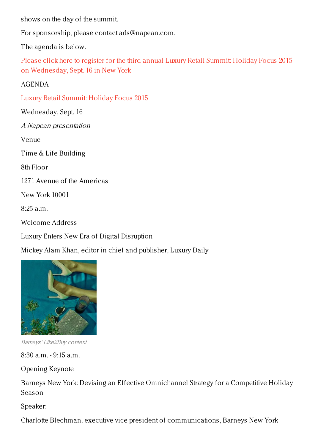shows on the day of the summit.

For sponsorship, please contact ads@napean.com.

The agenda is below.

Please click here to register for the third annual Luxury Retail Summit: Holiday Focus 2015 on [Wednesday,](https://luxurydaily.com/conference-page) Sept. 16 in New York

AGENDA

Luxury Retail [Summit:](https://luxurydaily.com/conference-page) Holiday Focus 2015

Wednesday, Sept. 16

A Napean presentation

Venue

Time & Life Building

8th Floor

1271 Avenue of the Americas

New York 10001

8:25 a.m.

Welcome Address

Luxury Enters New Era of Digital Disruption

Mickey Alam Khan, editor in chief and publisher, Luxury Daily



Barneys' Like2Buy content

8:30 a.m. - 9:15 a.m.

Opening Keynote

Barneys New York: Devising an Effective Omnichannel Strategy for a Competitive Holiday Season

Speaker:

Charlotte Blechman, executive vice president of communications, Barneys New York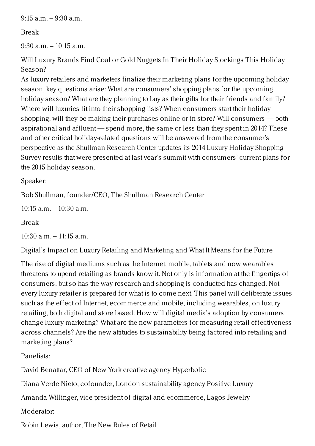$9:15$  a.m.  $-9:30$  a.m.

## Break

9:30 a.m. – 10:15 a.m.

Will Luxury Brands Find Coal or Gold Nuggets In Their Holiday Stockings This Holiday Season?

As luxury retailers and marketers finalize their marketing plans for the upcoming holiday season, key questions arise: What are consumers' shopping plans for the upcoming holiday season? What are they planning to buy as their gifts for their friends and family? Where will luxuries fit into their shopping lists? When consumers start their holiday shopping, will they be making their purchases online or in-store? Will consumers — both aspirational and affluent — spend more, the same or less than they spent in 2014? These and other critical holiday-related questions will be answered from the consumer's perspective as the Shullman Research Center updates its 2014 Luxury Holiday Shopping Survey results that were presented at last year's summit with consumers' current plans for the 2015 holiday season.

Speaker:

Bob Shullman, founder/CEO, The Shullman Research Center

 $10:15$  a.m.  $-10:30$  a.m.

Break

 $10:30$  a.m.  $-11:15$  a.m.

Digital's Impact on Luxury Retailing and Marketing and What It Means for the Future

The rise of digital mediums such as the Internet, mobile, tablets and now wearables threatens to upend retailing as brands know it. Not only is information at the fingertips of consumers, but so has the way research and shopping is conducted has changed. Not every luxury retailer is prepared for what is to come next. This panel will deliberate issues such as the effect of Internet, ecommerce and mobile, including wearables, on luxury retailing, both digital and store based. How will digital media's adoption by consumers change luxury marketing? What are the new parameters for measuring retail effectiveness across channels? Are the new attitudes to sustainability being factored into retailing and marketing plans?

Panelists:

David Benattar, CEO of New York creative agency Hyperbolic

Diana Verde Nieto, cofounder, London sustainability agency Positive Luxury

Amanda Willinger, vice president of digital and ecommerce, Lagos Jewelry

Moderator:

Robin Lewis, author, The New Rules of Retail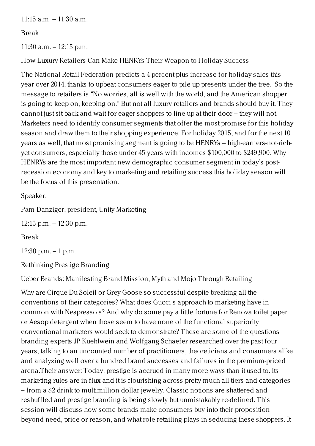11:15 a.m. – 11:30 a.m.

Break

11:30 a.m. – 12:15 p.m.

How Luxury Retailers Can Make HENRYs Their Weapon to Holiday Success

The National Retail Federation predicts a 4 percent-plus increase for holiday sales this year over 2014, thanks to upbeat consumers eager to pile up presents under the tree. So the message to retailers is "No worries, all is well with the world, and the American shopper is going to keep on, keeping on." But not all luxury retailers and brands should buy it. They cannot just sit back and wait for eager shoppers to line up at their door – they will not. Marketers need to identify consumer segments that offer the most promise for this holiday season and draw them to their shopping experience. For holiday 2015, and for the next 10 years as well, that most promising segment is going to be HENRYs – high-earners-not-richyet consumers, especially those under 45 years with incomes \$100,000 to \$249,900. Why HENRYs are the most important new demographic consumer segment in today's postrecession economy and key to marketing and retailing success this holiday season will be the focus of this presentation.

Speaker:

Pam Danziger, president, Unity Marketing

12:15 p.m. – 12:30 p.m.

Break

 $12:30$  p.m.  $-1$  p.m.

Rethinking Prestige Branding

Ueber Brands: Manifesting Brand Mission, Myth and Mojo Through Retailing

Why are Cirque Du Soleil or Grey Goose so successful despite breaking all the conventions of their categories? What does Gucci's approach to marketing have in common with Nespresso's? And why do some pay a little fortune for Renova toilet paper or Aesop detergent when those seem to have none of the functional superiority conventional marketers would seek to demonstrate? These are some of the questions branding experts JP Kuehlwein and Wolfgang Schaefer researched over the past four years, talking to an uncounted number of practitioners, theoreticians and consumers alike and analyzing well over a hundred brand successes and failures in the premium-priced arena.Their answer: Today, prestige is accrued in many more ways than it used to. Its marketing rules are in flux and it is flourishing across pretty much all tiers and categories – from a \$2 drink to multimillion dollar jewelry. Classic notions are shattered and reshuffled and prestige branding is being slowly but unmistakably re-defined. This session will discuss how some brands make consumers buy into their proposition beyond need, price or reason, and what role retailing plays in seducing these shoppers. It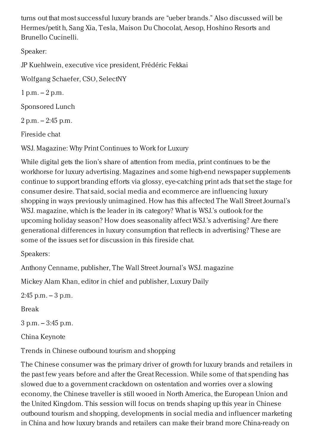turns out that most successful luxury brands are "ueber brands." Also discussed will be Hermes/petit h, Sang Xia, Tesla, Maison Du Chocolat, Aesop, Hoshino Resorts and Brunello Cucinelli.

Speaker:

JP Kuehlwein, executive vice president, Frédéric Fekkai

Wolfgang Schaefer, CSO, SelectNY

 $1 p.m. - 2 p.m.$ 

Sponsored Lunch

2 p.m. – 2:45 p.m.

Fireside chat

WSJ. Magazine: Why Print Continues to Work for Luxury

While digital gets the lion's share of attention from media, print continues to be the workhorse for luxury advertising. Magazines and some high-end newspaper supplements continue to support branding efforts via glossy, eye-catching print ads that set the stage for consumer desire. That said, social media and ecommerce are influencing luxury shopping in ways previously unimagined. How has this affected The Wall Street Journal's WSJ. magazine, which is the leader in its category? What is WSJ.'s outlook for the upcoming holiday season? How does seasonality affect WSJ.'s advertising? Are there generational differences in luxury consumption that reflects in advertising? These are some of the issues set for discussion in this fireside chat.

Speakers:

Anthony Cenname, publisher, The Wall Street Journal's WSJ. magazine

Mickey Alam Khan, editor in chief and publisher, Luxury Daily

 $2:45$  p.m.  $-3$  p.m.

Break

3 p.m. – 3:45 p.m.

China Keynote

Trends in Chinese outbound tourism and shopping

The Chinese consumer was the primary driver of growth for luxury brands and retailers in the past few years before and after the Great Recession. While some of that spending has slowed due to a government crackdown on ostentation and worries over a slowing economy, the Chinese traveller is still wooed in North America, the European Union and the United Kingdom. This session will focus on trends shaping up this year in Chinese outbound tourism and shopping, developments in social media and influencer marketing in China and how luxury brands and retailers can make their brand more China-ready on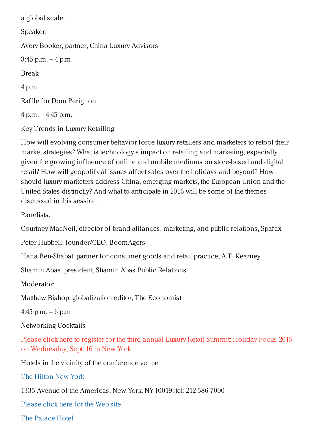a global scale.

Speaker:

Avery Booker, partner, China Luxury Advisors

 $3:45$  p.m.  $-4$  p.m.

Break

4 p.m.

Raffle for Dom Perignon

4 p.m. – 4:45 p.m.

Key Trends in Luxury Retailing

How will evolving consumer behavior force luxury retailers and marketers to retool their market strategies? What is technology's impact on retailing and marketing, especially given the growing influence of online and mobile mediums on store-based and digital retail? How will geopolitical issues affect sales over the holidays and beyond? How should luxury marketers address China, emerging markets, the European Union and the United States distinctly? And what to anticipate in 2016 will be some of the themes discussed in this session.

Panelists:

Courtney MacNeil, director of brand alliances, marketing, and public relations, Spafax

Peter Hubbell, founder/CEO, BoomAgers

Hana Ben-Shabat, partner for consumer goods and retail practice, A.T. Kearney

Shamin Abas, president, Shamin Abas Public Relations

Moderator:

Matthew Bishop, globalization editor, The Economist

4:45 p.m.  $-6$  p.m.

Networking Cocktails

Please click here to register for the third annual Luxury Retail Summit: Holiday Focus 2015 on [Wednesday,](https://luxurydaily.com/conference-page) Sept. 16 in New York

Hotels in the vicinity of the conference venue

The [Hilton](http://www.newyorkhiltonhotel.com/) New York

1335 Avenue of the Americas, New York, NY 10019; tel: 212-586-7000

[Please](http://www.newyorkhiltonhotel.com/) click here for the Web site

The [Palace](http://www.newyorkpalace.com/) Hotel